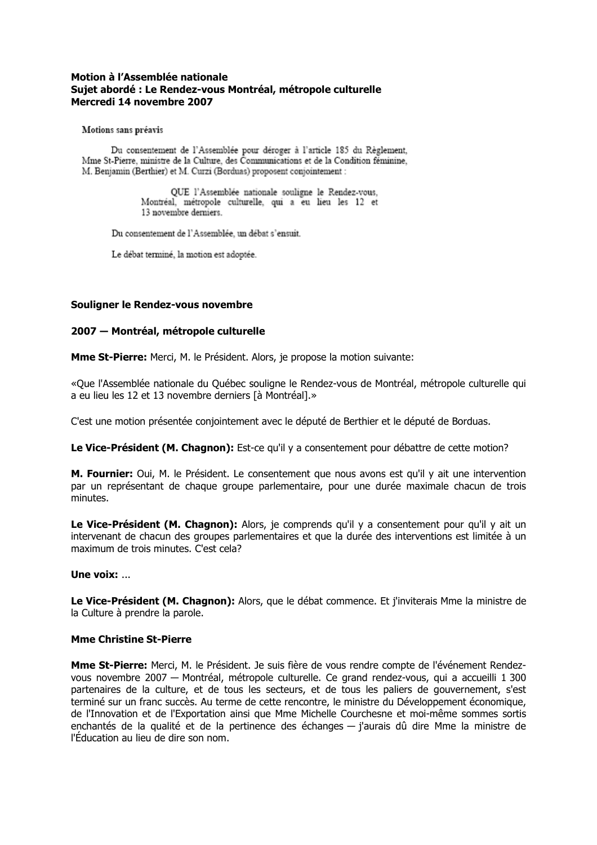## Motion à l'Assemblée nationale Sujet abordé : Le Rendez-vous Montréal, métropole culturelle Mercredi 14 novembre 2007

Motions sans préavis

Du consentement de l'Assemblée pour déroger à l'article 185 du Règlement. Mme St-Pierre, ministre de la Culture, des Communications et de la Condition féminine. M. Benjamin (Berthier) et M. Curzi (Borduas) proposent conjointement :

> QUE l'Assemblée nationale souligne le Rendez-vous. Montréal, métropole culturelle, qui a eu lieu les 12 et 13 novembre derniers.

Du consentement de l'Assemblée, un débat s'ensuit.

Le débat terminé, la motion est adoptée.

## Souligner le Rendez-vous novembre

## 2007 - Montréal, métropole culturelle

**Mme St-Pierre:** Merci, M. le Président. Alors, je propose la motion suivante:

«Que l'Assemblée nationale du Québec souligne le Rendez-vous de Montréal, métropole culturelle qui a eu lieu les 12 et 13 novembre derniers là Montréal1.»

C'est une motion présentée conjointement avec le député de Berthier et le député de Borduas.

Le Vice-Président (M. Chagnon): Est-ce qu'il y a consentement pour débattre de cette motion?

M. Fournier: Oui, M. le Président. Le consentement que nous avons est qu'il y ait une intervention par un représentant de chaque groupe parlementaire, pour une durée maximale chacun de trois minutes.

Le Vice-Président (M. Chagnon): Alors, je comprends qu'il y a consentement pour qu'il y ait un intervenant de chacun des groupes parlementaires et que la durée des interventions est limitée à un maximum de trois minutes. C'est cela?

#### Une voix: ...

Le Vice-Président (M. Chagnon): Alors, que le débat commence. Et j'inviterais Mme la ministre de la Culture à prendre la parole.

#### **Mme Christine St-Pierre**

**Mme St-Pierre:** Merci, M. le Président. Je suis fière de vous rendre compte de l'événement Rendezvous novembre 2007 - Montréal, métropole culturelle. Ce grand rendez-vous, qui a accueilli 1 300 partenaires de la culture, et de tous les secteurs, et de tous les paliers de gouvernement, s'est terminé sur un franc succès. Au terme de cette rencontre, le ministre du Développement économique, de l'Innovation et de l'Exportation ainsi que Mme Michelle Courchesne et moi-même sommes sortis enchantés de la qualité et de la pertinence des échanges — j'aurais dû dire Mme la ministre de l'Éducation au lieu de dire son nom.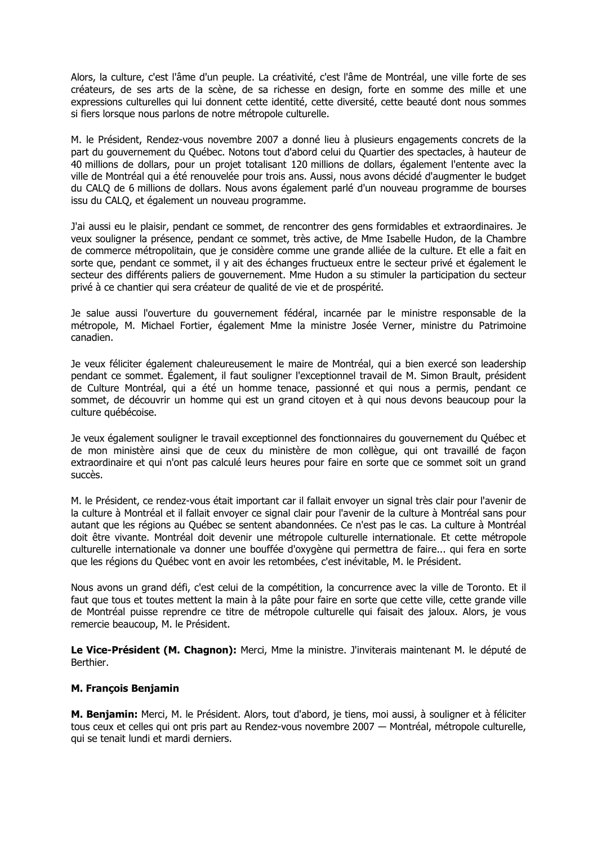Alors, la culture, c'est l'âme d'un peuple. La créativité, c'est l'âme de Montréal, une ville forte de ses créateurs, de ses arts de la scène, de sa richesse en design, forte en somme des mille et une expressions culturelles qui lui donnent cette identité, cette diversité, cette beauté dont nous sommes si fiers lorsque nous parlons de notre métropole culturelle.

M. le Président, Rendez-vous novembre 2007 a donné lieu à plusieurs engagements concrets de la part du gouvernement du Québec. Notons tout d'abord celui du Quartier des spectacles, à hauteur de 40 millions de dollars, pour un projet totalisant 120 millions de dollars, également l'entente avec la ville de Montréal qui a été renouvelée pour trois ans. Aussi, nous avons décidé d'augmenter le budget du CALO de 6 millions de dollars. Nous avons également parlé d'un nouveau programme de bourses issu du CALQ, et également un nouveau programme.

J'ai aussi eu le plaisir, pendant ce sommet, de rencontrer des gens formidables et extraordinaires. Je veux souligner la présence, pendant ce sommet, très active, de Mme Isabelle Hudon, de la Chambre de commerce métropolitain, que je considère comme une grande alliée de la culture. Et elle a fait en sorte que, pendant ce sommet, il y ait des échanges fructueux entre le secteur privé et également le secteur des différents paliers de gouvernement. Mme Hudon a su stimuler la participation du secteur privé à ce chantier qui sera créateur de qualité de vie et de prospérité.

Je salue aussi l'ouverture du gouvernement fédéral, incarnée par le ministre responsable de la métropole, M. Michael Fortier, également Mme la ministre Josée Verner, ministre du Patrimoine canadien.

Je veux féliciter également chaleureusement le maire de Montréal, qui a bien exercé son leadership pendant ce sommet. Également, il faut souligner l'exceptionnel travail de M. Simon Brault, président de Culture Montréal, qui a été un homme tenace, passionné et qui nous a permis, pendant ce sommet, de découvrir un homme qui est un grand citoyen et à qui nous devons beaucoup pour la culture québécoise.

Je veux également souligner le travail exceptionnel des fonctionnaires du gouvernement du Québec et de mon ministère ainsi que de ceux du ministère de mon collègue, qui ont travaillé de façon extraordinaire et qui n'ont pas calculé leurs heures pour faire en sorte que ce sommet soit un grand succès.

M. le Président, ce rendez-vous était important car il fallait envover un signal très clair pour l'avenir de la culture à Montréal et il fallait envoyer ce signal clair pour l'avenir de la culture à Montréal sans pour autant que les régions au Québec se sentent abandonnées. Ce n'est pas le cas. La culture à Montréal doit être vivante. Montréal doit devenir une métropole culturelle internationale. Et cette métropole culturelle internationale va donner une bouffée d'oxygène qui permettra de faire... qui fera en sorte que les régions du Québec vont en avoir les retombées, c'est inévitable, M. le Président.

Nous avons un grand défi, c'est celui de la compétition, la concurrence avec la ville de Toronto. Et il faut que tous et toutes mettent la main à la pâte pour faire en sorte que cette ville, cette grande ville de Montréal puisse reprendre ce titre de métropole culturelle qui faisait des jaloux. Alors, je vous remercie beaucoup, M. le Président.

Le Vice-Président (M. Chagnon): Merci, Mme la ministre. J'inviterais maintenant M. le député de Berthier.

# **M. Francois Benjamin**

M. Benjamin: Merci, M. le Président. Alors, tout d'abord, je tiens, moi aussi, à souligner et à féliciter tous ceux et celles qui ont pris part au Rendez-vous novembre 2007 — Montréal, métropole culturelle, qui se tenait lundi et mardi derniers.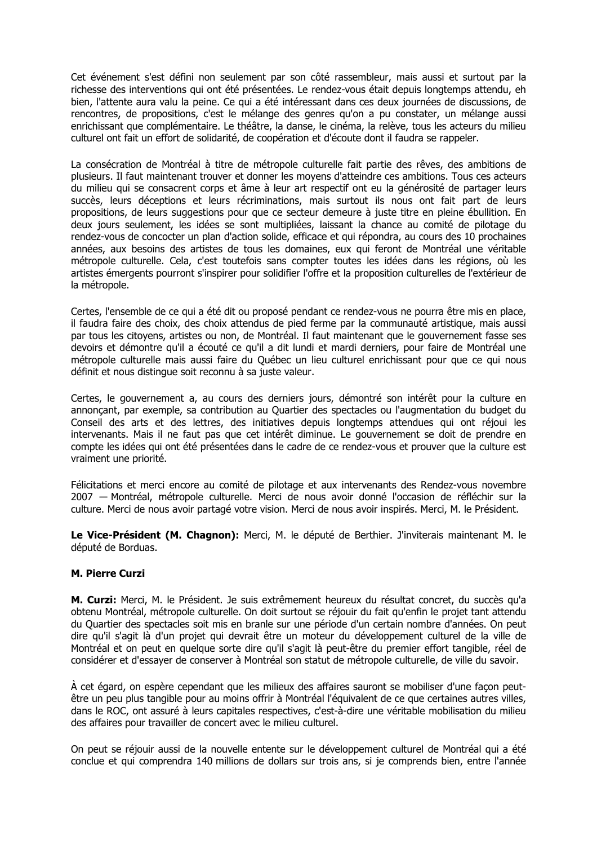Cet événement s'est défini non seulement par son côté rassembleur, mais aussi et surtout par la richesse des interventions qui ont été présentées. Le rendez-vous était depuis longtemps attendu, eh bien, l'attente aura valu la peine. Ce qui a été intéressant dans ces deux journées de discussions, de rencontres, de propositions, c'est le mélange des genres qu'on a pu constater, un mélange aussi enrichissant que complémentaire. Le théâtre, la danse, le cinéma, la relève, tous les acteurs du milieu culturel ont fait un effort de solidarité, de coopération et d'écoute dont il faudra se rappeler.

La consécration de Montréal à titre de métropole culturelle fait partie des rêves, des ambitions de plusieurs. Il faut maintenant trouver et donner les moyens d'atteindre ces ambitions. Tous ces acteurs du milieu qui se consacrent corps et âme à leur art respectif ont eu la générosité de partager leurs succès, leurs déceptions et leurs récriminations, mais surtout ils nous ont fait part de leurs propositions, de leurs suggestions pour que ce secteur demeure à juste titre en pleine ébullition. En deux jours seulement, les idées se sont multipliées, laissant la chance au comité de pilotage du rendez-vous de concocter un plan d'action solide, efficace et qui répondra, au cours des 10 prochaines années, aux besoins des artistes de tous les domaines, eux qui feront de Montréal une véritable métropole culturelle. Cela, c'est toutefois sans compter toutes les idées dans les régions, où les artistes émergents pourront s'inspirer pour solidifier l'offre et la proposition culturelles de l'extérieur de la métropole.

Certes, l'ensemble de ce qui a été dit ou proposé pendant ce rendez-vous ne pourra être mis en place, il faudra faire des choix, des choix attendus de pied ferme par la communauté artistique, mais aussi par tous les citoyens, artistes ou non, de Montréal. Il faut maintenant que le gouvernement fasse ses devoirs et démontre qu'il a écouté ce qu'il a dit lundi et mardi derniers, pour faire de Montréal une métropole culturelle mais aussi faire du Québec un lieu culturel enrichissant pour que ce qui nous définit et nous distingue soit reconnu à sa juste valeur.

Certes, le gouvernement a, au cours des derniers jours, démontré son intérêt pour la culture en annonçant, par exemple, sa contribution au Quartier des spectacles ou l'augmentation du budget du Conseil des arts et des lettres, des initiatives depuis longtemps attendues qui ont réjoui les intervenants. Mais il ne faut pas que cet intérêt diminue. Le gouvernement se doit de prendre en compte les idées qui ont été présentées dans le cadre de ce rendez-vous et prouver que la culture est vraiment une priorité.

Félicitations et merci encore au comité de pilotage et aux intervenants des Rendez-vous novembre 2007 - Montréal, métropole culturelle. Merci de nous avoir donné l'occasion de réfléchir sur la culture. Merci de nous avoir partagé votre vision. Merci de nous avoir inspirés. Merci, M. le Président.

Le Vice-Président (M. Chagnon): Merci, M. le député de Berthier. J'inviterais maintenant M. le député de Borduas.

# **M. Pierre Curzi**

M. Curzi: Merci, M. le Président. Je suis extrêmement heureux du résultat concret, du succès qu'a obtenu Montréal, métropole culturelle. On doit surtout se réjouir du fait qu'enfin le projet tant attendu du Quartier des spectacles soit mis en branle sur une période d'un certain nombre d'années. On peut dire qu'il s'agit là d'un projet qui devrait être un moteur du développement culturel de la ville de Montréal et on peut en quelque sorte dire qu'il s'agit là peut-être du premier effort tangible, réel de considérer et d'essayer de conserver à Montréal son statut de métropole culturelle, de ville du savoir.

À cet égard, on espère cependant que les milieux des affaires sauront se mobiliser d'une facon peutêtre un peu plus tangible pour au moins offrir à Montréal l'équivalent de ce que certaines autres villes. dans le ROC, ont assuré à leurs capitales respectives, c'est-à-dire une véritable mobilisation du milieu des affaires pour travailler de concert avec le milieu culturel.

On peut se réjouir aussi de la nouvelle entente sur le développement culturel de Montréal qui a été conclue et qui comprendra 140 millions de dollars sur trois ans, si je comprends bien, entre l'année